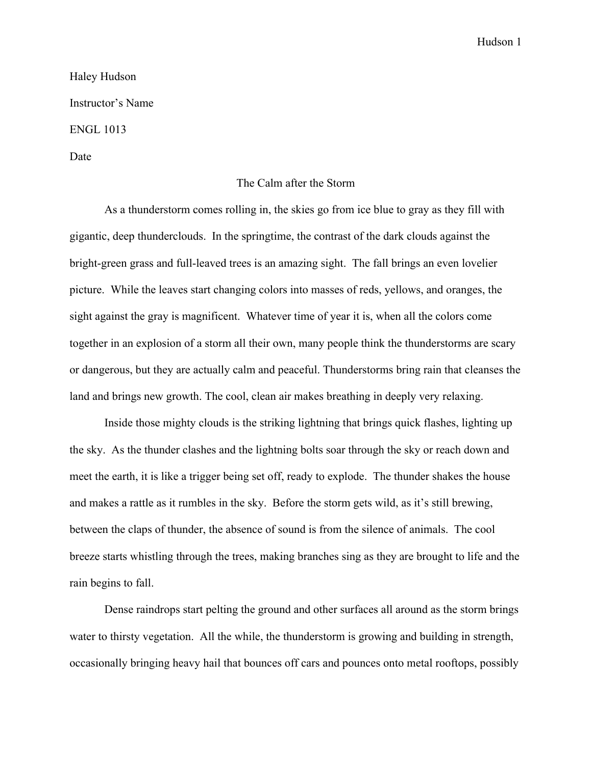Hudson 1

Haley Hudson Instructor's Name ENGL 1013 Date

## The Calm after the Storm

As a thunderstorm comes rolling in, the skies go from ice blue to gray as they fill with gigantic, deep thunderclouds. In the springtime, the contrast of the dark clouds against the bright-green grass and full-leaved trees is an amazing sight. The fall brings an even lovelier picture. While the leaves start changing colors into masses of reds, yellows, and oranges, the sight against the gray is magnificent. Whatever time of year it is, when all the colors come together in an explosion of a storm all their own, many people think the thunderstorms are scary or dangerous, but they are actually calm and peaceful. Thunderstorms bring rain that cleanses the land and brings new growth. The cool, clean air makes breathing in deeply very relaxing.

Inside those mighty clouds is the striking lightning that brings quick flashes, lighting up the sky. As the thunder clashes and the lightning bolts soar through the sky or reach down and meet the earth, it is like a trigger being set off, ready to explode. The thunder shakes the house and makes a rattle as it rumbles in the sky. Before the storm gets wild, as it's still brewing, between the claps of thunder, the absence of sound is from the silence of animals. The cool breeze starts whistling through the trees, making branches sing as they are brought to life and the rain begins to fall.

Dense raindrops start pelting the ground and other surfaces all around as the storm brings water to thirsty vegetation. All the while, the thunderstorm is growing and building in strength, occasionally bringing heavy hail that bounces off cars and pounces onto metal rooftops, possibly